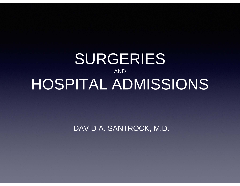# SURGERIES AND HOSPITAL ADMISSIONS

DAVID A. SANTROCK, M.D.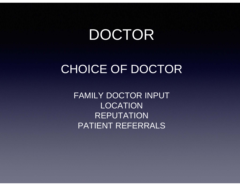# DOCTOR

# CHOICE OF DOCTOR

FAMILY DOCTOR INPUT LOCATIONREPUTATIONPATIENT REFERRALS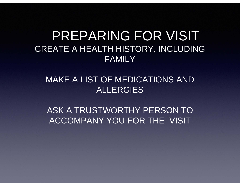## CREATE A HEALTH HISTORY, INCLUDING FAMILYPREPARING FOR VISIT

### MAKE A LIST OF MEDICATIONS AND ALLERGIES

ASK A TRUSTWORTHY PERSON TO ACCOMPANY YOU FOR THE VISIT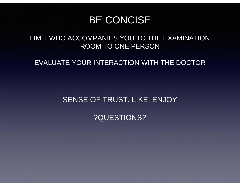### BE CONCISE

<u>VISIT AND THE STATE OF THE STATE OF THE STATE OF THE STATE OF THE STATE OF THE STATE OF THE STATE OF THE STATE OF THE STATE OF THE STATE OF THE STATE OF THE STATE OF THE STATE OF THE STATE OF THE STATE OF THE STATE OF THE</u>

#### LIMIT WHO ACCOMPANIES YOU TO THE EXAMINATION ROOM TO ONE PERSON

#### EVALUATE YOUR INTERACTION WITH THE DOCTOR

#### SENSE OF TRUST, LIKE, ENJOY

#### ?QUESTIONS?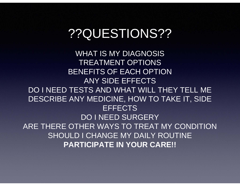# ??QUESTIONS??

WHAT IS MY DIAGNOSISTREATMENT OPTIONSBENEFITS OF EACH OPTIONANY SIDE EFFECTSDO I NEED TESTS AND WHAT WILL THEY TELL MEDESCRIBE ANY MEDICINE, HOW TO TAKE IT, SIDE **EFFECTS** DO I NEED SURGERYARE THERE OTHER WAYS TO TREAT MY CONDITIONSHOULD I CHANGE MY DAILY ROUTINE **PARTICIPATE IN YOUR CARE!!**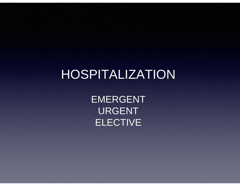# HOSPITALIZATION

EMERGENT URGENT ELECTIVE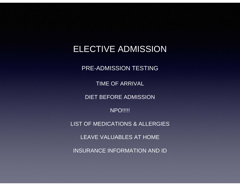### ELECTIVE ADMISSION

PRE-ADMISSION TESTING

TIME OF ARRIVAL

DIET BEFORE ADMISSION

**NPO!!!!!** 

LIST OF MEDICATIONS & ALLERGIES

LEAVE VALUABLES AT HOME

INSURANCE INFORMATION AND ID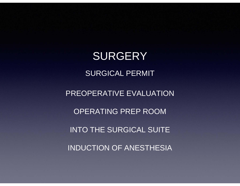SURGERY SURGICAL PERMITPREOPERATIVE EVALUATION OPERATING PREP ROOMINTO THE SURGICAL SUITE INDUCTION OF ANESTHESIA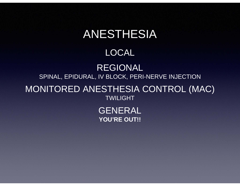# ANESTHESIA

### LOCAL

### REGIONAL SPINAL, EPIDURAL, IV BLOCK, PERI-NERVE INJECTION

### MONITORED ANESTHESIA CONTROL (MAC) TWILIGHT

GENERAL **YOU'RE OUT!!**